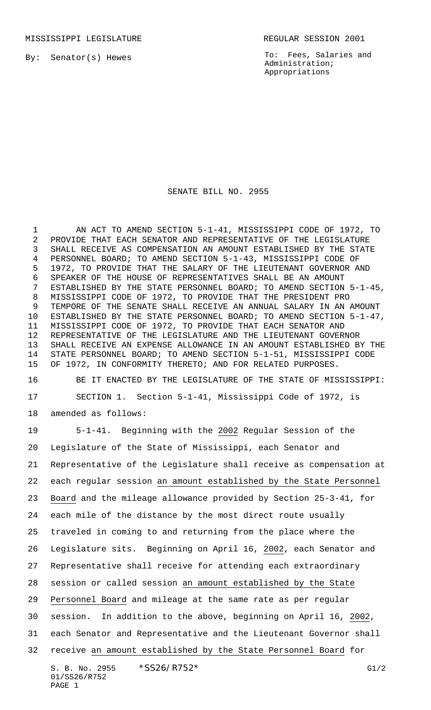By: Senator(s) Hewes

To: Fees, Salaries and Administration; Appropriations

## SENATE BILL NO. 2955

1 AN ACT TO AMEND SECTION 5-1-41, MISSISSIPPI CODE OF 1972, TO PROVIDE THAT EACH SENATOR AND REPRESENTATIVE OF THE LEGISLATURE SHALL RECEIVE AS COMPENSATION AN AMOUNT ESTABLISHED BY THE STATE PERSONNEL BOARD; TO AMEND SECTION 5-1-43, MISSISSIPPI CODE OF 1972, TO PROVIDE THAT THE SALARY OF THE LIEUTENANT GOVERNOR AND SPEAKER OF THE HOUSE OF REPRESENTATIVES SHALL BE AN AMOUNT ESTABLISHED BY THE STATE PERSONNEL BOARD; TO AMEND SECTION 5-1-45, MISSISSIPPI CODE OF 1972, TO PROVIDE THAT THE PRESIDENT PRO TEMPORE OF THE SENATE SHALL RECEIVE AN ANNUAL SALARY IN AN AMOUNT ESTABLISHED BY THE STATE PERSONNEL BOARD; TO AMEND SECTION 5-1-47, MISSISSIPPI CODE OF 1972, TO PROVIDE THAT EACH SENATOR AND REPRESENTATIVE OF THE LEGISLATURE AND THE LIEUTENANT GOVERNOR SHALL RECEIVE AN EXPENSE ALLOWANCE IN AN AMOUNT ESTABLISHED BY THE STATE PERSONNEL BOARD; TO AMEND SECTION 5-1-51, MISSISSIPPI CODE OF 1972, IN CONFORMITY THERETO; AND FOR RELATED PURPOSES.

 BE IT ENACTED BY THE LEGISLATURE OF THE STATE OF MISSISSIPPI: SECTION 1. Section 5-1-41, Mississippi Code of 1972, is

amended as follows:

 5-1-41. Beginning with the 2002 Regular Session of the Legislature of the State of Mississippi, each Senator and Representative of the Legislature shall receive as compensation at each regular session an amount established by the State Personnel Board and the mileage allowance provided by Section 25-3-41, for each mile of the distance by the most direct route usually traveled in coming to and returning from the place where the Legislature sits. Beginning on April 16, 2002, each Senator and Representative shall receive for attending each extraordinary session or called session an amount established by the State Personnel Board and mileage at the same rate as per regular session. In addition to the above, beginning on April 16, 2002, each Senator and Representative and the Lieutenant Governor shall receive an amount established by the State Personnel Board for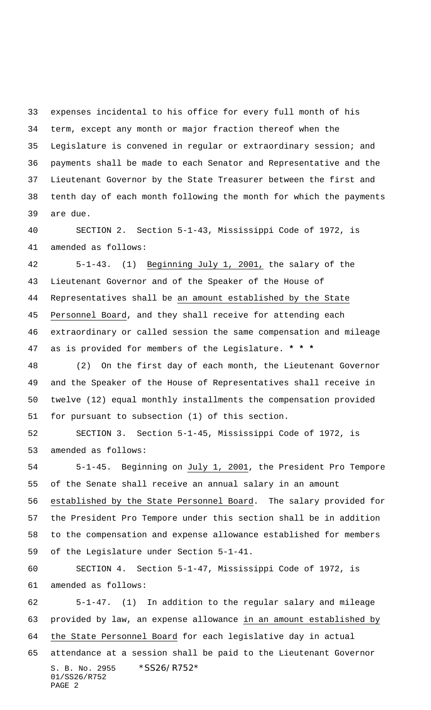expenses incidental to his office for every full month of his term, except any month or major fraction thereof when the Legislature is convened in regular or extraordinary session; and payments shall be made to each Senator and Representative and the Lieutenant Governor by the State Treasurer between the first and tenth day of each month following the month for which the payments are due.

 SECTION 2. Section 5-1-43, Mississippi Code of 1972, is amended as follows:

 5-1-43. (1) Beginning July 1, 2001, the salary of the Lieutenant Governor and of the Speaker of the House of Representatives shall be an amount established by the State Personnel Board, and they shall receive for attending each extraordinary or called session the same compensation and mileage as is provided for members of the Legislature. **\* \* \***

 (2) On the first day of each month, the Lieutenant Governor and the Speaker of the House of Representatives shall receive in twelve (12) equal monthly installments the compensation provided for pursuant to subsection (1) of this section.

 SECTION 3. Section 5-1-45, Mississippi Code of 1972, is amended as follows:

 5-1-45. Beginning on July 1, 2001, the President Pro Tempore of the Senate shall receive an annual salary in an amount established by the State Personnel Board. The salary provided for the President Pro Tempore under this section shall be in addition to the compensation and expense allowance established for members of the Legislature under Section 5-1-41.

 SECTION 4. Section 5-1-47, Mississippi Code of 1972, is amended as follows:

S. B. No. 2955 \*SS26/R752\* 01/SS26/R752 PAGE 2 5-1-47. (1) In addition to the regular salary and mileage provided by law, an expense allowance in an amount established by the State Personnel Board for each legislative day in actual attendance at a session shall be paid to the Lieutenant Governor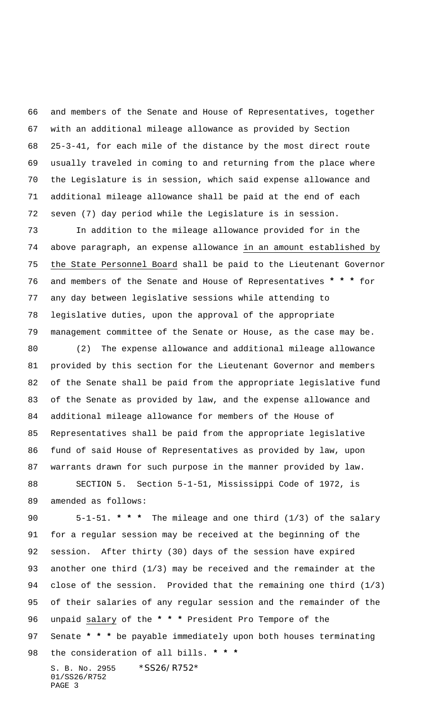and members of the Senate and House of Representatives, together with an additional mileage allowance as provided by Section 25-3-41, for each mile of the distance by the most direct route usually traveled in coming to and returning from the place where the Legislature is in session, which said expense allowance and additional mileage allowance shall be paid at the end of each seven (7) day period while the Legislature is in session.

 In addition to the mileage allowance provided for in the above paragraph, an expense allowance in an amount established by the State Personnel Board shall be paid to the Lieutenant Governor and members of the Senate and House of Representatives **\* \* \*** for any day between legislative sessions while attending to legislative duties, upon the approval of the appropriate management committee of the Senate or House, as the case may be.

 (2) The expense allowance and additional mileage allowance provided by this section for the Lieutenant Governor and members of the Senate shall be paid from the appropriate legislative fund of the Senate as provided by law, and the expense allowance and additional mileage allowance for members of the House of Representatives shall be paid from the appropriate legislative fund of said House of Representatives as provided by law, upon warrants drawn for such purpose in the manner provided by law.

 SECTION 5. Section 5-1-51, Mississippi Code of 1972, is amended as follows:

S. B. No. 2955 \*SS26/R752\* 01/SS26/R752 5-1-51. **\* \* \*** The mileage and one third (1/3) of the salary for a regular session may be received at the beginning of the session. After thirty (30) days of the session have expired another one third (1/3) may be received and the remainder at the close of the session. Provided that the remaining one third (1/3) of their salaries of any regular session and the remainder of the unpaid salary of the **\* \* \*** President Pro Tempore of the Senate **\* \* \*** be payable immediately upon both houses terminating the consideration of all bills. **\* \* \***

PAGE 3